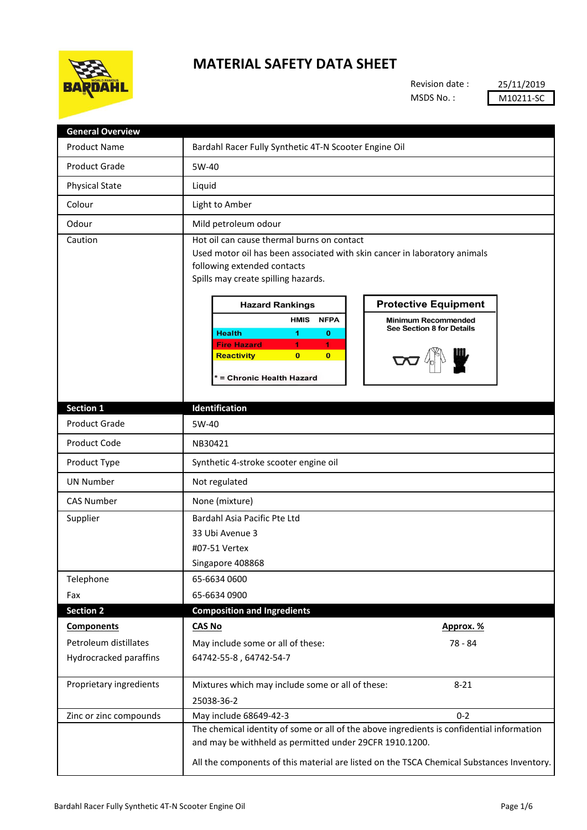

## **MATERIAL SAFETY DATA SHEET**

Revision date : MSDS No. :

25/11/2019 M10211-SC

| <b>General Overview</b> |                                                                                                                                                                                                                                                                                                                                                                                                                                                                                                              |
|-------------------------|--------------------------------------------------------------------------------------------------------------------------------------------------------------------------------------------------------------------------------------------------------------------------------------------------------------------------------------------------------------------------------------------------------------------------------------------------------------------------------------------------------------|
| <b>Product Name</b>     | Bardahl Racer Fully Synthetic 4T-N Scooter Engine Oil                                                                                                                                                                                                                                                                                                                                                                                                                                                        |
| <b>Product Grade</b>    | 5W-40                                                                                                                                                                                                                                                                                                                                                                                                                                                                                                        |
| <b>Physical State</b>   | Liquid                                                                                                                                                                                                                                                                                                                                                                                                                                                                                                       |
| Colour                  | Light to Amber                                                                                                                                                                                                                                                                                                                                                                                                                                                                                               |
| Odour                   | Mild petroleum odour                                                                                                                                                                                                                                                                                                                                                                                                                                                                                         |
| Caution                 | Hot oil can cause thermal burns on contact<br>Used motor oil has been associated with skin cancer in laboratory animals<br>following extended contacts<br>Spills may create spilling hazards.<br><b>Protective Equipment</b><br><b>Hazard Rankings</b><br><b>HMIS</b><br><b>NFPA</b><br><b>Minimum Recommended</b><br>See Section 8 for Details<br><b>Health</b><br>1<br>$\mathbf 0$<br><b>Fire Hazard</b><br>$\mathbf{1}$<br>1.<br><b>Reactivity</b><br>$\bf{0}$<br>$\mathbf{0}$<br>= Chronic Health Hazard |
| Section 1               | Identification                                                                                                                                                                                                                                                                                                                                                                                                                                                                                               |
| <b>Product Grade</b>    | 5W-40                                                                                                                                                                                                                                                                                                                                                                                                                                                                                                        |
| <b>Product Code</b>     | NB30421                                                                                                                                                                                                                                                                                                                                                                                                                                                                                                      |
| Product Type            | Synthetic 4-stroke scooter engine oil                                                                                                                                                                                                                                                                                                                                                                                                                                                                        |
| <b>UN Number</b>        | Not regulated                                                                                                                                                                                                                                                                                                                                                                                                                                                                                                |
| <b>CAS Number</b>       | None (mixture)                                                                                                                                                                                                                                                                                                                                                                                                                                                                                               |
| Supplier                | Bardahl Asia Pacific Pte Ltd                                                                                                                                                                                                                                                                                                                                                                                                                                                                                 |
|                         | 33 Ubi Avenue 3                                                                                                                                                                                                                                                                                                                                                                                                                                                                                              |
|                         | #07-51 Vertex                                                                                                                                                                                                                                                                                                                                                                                                                                                                                                |
|                         | Singapore 408868                                                                                                                                                                                                                                                                                                                                                                                                                                                                                             |
| Telephone               | 65-6634 0600                                                                                                                                                                                                                                                                                                                                                                                                                                                                                                 |
| Fax                     | 65-6634 0900                                                                                                                                                                                                                                                                                                                                                                                                                                                                                                 |
| <b>Section 2</b>        | <b>Composition and Ingredients</b>                                                                                                                                                                                                                                                                                                                                                                                                                                                                           |
| <b>Components</b>       | <b>CAS No</b><br>Approx. %                                                                                                                                                                                                                                                                                                                                                                                                                                                                                   |
| Petroleum distillates   | 78 - 84<br>May include some or all of these:                                                                                                                                                                                                                                                                                                                                                                                                                                                                 |
| Hydrocracked paraffins  | 64742-55-8, 64742-54-7                                                                                                                                                                                                                                                                                                                                                                                                                                                                                       |
| Proprietary ingredients | Mixtures which may include some or all of these:<br>$8 - 21$                                                                                                                                                                                                                                                                                                                                                                                                                                                 |
|                         | 25038-36-2                                                                                                                                                                                                                                                                                                                                                                                                                                                                                                   |
| Zinc or zinc compounds  | $0 - 2$<br>May include 68649-42-3                                                                                                                                                                                                                                                                                                                                                                                                                                                                            |
|                         | The chemical identity of some or all of the above ingredients is confidential information<br>and may be withheld as permitted under 29CFR 1910.1200.                                                                                                                                                                                                                                                                                                                                                         |
|                         | All the components of this material are listed on the TSCA Chemical Substances Inventory.                                                                                                                                                                                                                                                                                                                                                                                                                    |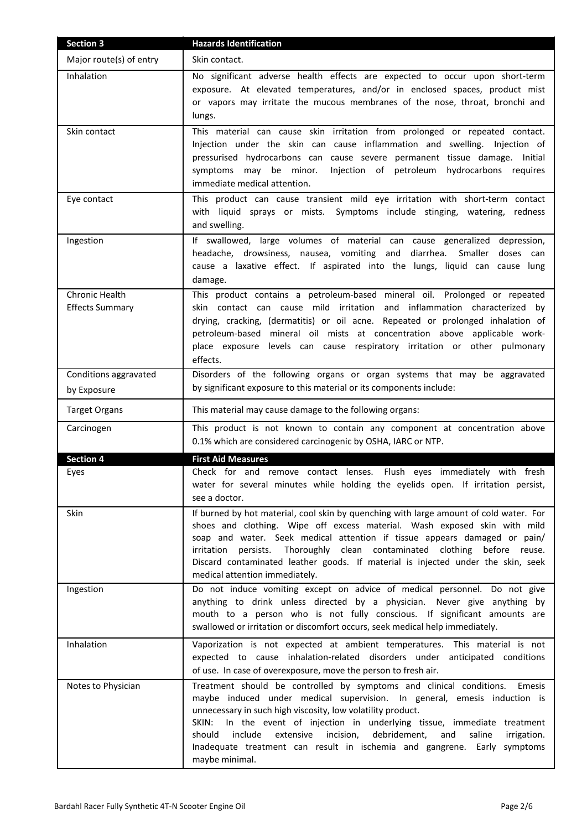| <b>Section 3</b>                         | <b>Hazards Identification</b>                                                                                                                                                                                                                                                                                                                                                                                                                                                                         |
|------------------------------------------|-------------------------------------------------------------------------------------------------------------------------------------------------------------------------------------------------------------------------------------------------------------------------------------------------------------------------------------------------------------------------------------------------------------------------------------------------------------------------------------------------------|
| Major route(s) of entry                  | Skin contact.                                                                                                                                                                                                                                                                                                                                                                                                                                                                                         |
| Inhalation                               | No significant adverse health effects are expected to occur upon short-term<br>exposure. At elevated temperatures, and/or in enclosed spaces, product mist<br>or vapors may irritate the mucous membranes of the nose, throat, bronchi and<br>lungs.                                                                                                                                                                                                                                                  |
| Skin contact                             | This material can cause skin irritation from prolonged or repeated contact.<br>Injection under the skin can cause inflammation and swelling. Injection of<br>pressurised hydrocarbons can cause severe permanent tissue damage. Initial<br>Injection of petroleum hydrocarbons requires<br>symptoms may be minor.<br>immediate medical attention.                                                                                                                                                     |
| Eye contact                              | This product can cause transient mild eye irritation with short-term contact<br>with liquid sprays or mists. Symptoms include stinging, watering, redness<br>and swelling.                                                                                                                                                                                                                                                                                                                            |
| Ingestion                                | If swallowed, large volumes of material can cause generalized depression,<br>headache, drowsiness, nausea, vomiting and diarrhea. Smaller doses can<br>cause a laxative effect. If aspirated into the lungs, liquid can cause lung<br>damage.                                                                                                                                                                                                                                                         |
| Chronic Health<br><b>Effects Summary</b> | This product contains a petroleum-based mineral oil. Prolonged or repeated<br>skin contact can cause mild irritation and inflammation characterized by<br>drying, cracking, (dermatitis) or oil acne. Repeated or prolonged inhalation of<br>petroleum-based mineral oil mists at concentration above applicable work-<br>place exposure levels can cause respiratory irritation or other pulmonary<br>effects.                                                                                       |
| Conditions aggravated                    | Disorders of the following organs or organ systems that may be aggravated                                                                                                                                                                                                                                                                                                                                                                                                                             |
| by Exposure                              | by significant exposure to this material or its components include:                                                                                                                                                                                                                                                                                                                                                                                                                                   |
| <b>Target Organs</b>                     | This material may cause damage to the following organs:                                                                                                                                                                                                                                                                                                                                                                                                                                               |
| Carcinogen                               | This product is not known to contain any component at concentration above<br>0.1% which are considered carcinogenic by OSHA, IARC or NTP.                                                                                                                                                                                                                                                                                                                                                             |
| <b>Section 4</b>                         | <b>First Aid Measures</b>                                                                                                                                                                                                                                                                                                                                                                                                                                                                             |
| Eyes                                     | Check for and remove contact lenses. Flush eyes immediately with fresh<br>water for several minutes while holding the eyelids open. If irritation persist,<br>see a doctor.                                                                                                                                                                                                                                                                                                                           |
| Skin                                     | If burned by hot material, cool skin by quenching with large amount of cold water. For<br>shoes and clothing. Wipe off excess material. Wash exposed skin with mild<br>soap and water. Seek medical attention if tissue appears damaged or pain/<br>Thoroughly clean contaminated clothing before reuse.<br>irritation persists.<br>Discard contaminated leather goods. If material is injected under the skin, seek<br>medical attention immediately.                                                |
| Ingestion                                | Do not induce vomiting except on advice of medical personnel. Do not give<br>anything to drink unless directed by a physician. Never give anything by<br>mouth to a person who is not fully conscious. If significant amounts are<br>swallowed or irritation or discomfort occurs, seek medical help immediately.                                                                                                                                                                                     |
| Inhalation                               | Vaporization is not expected at ambient temperatures. This material is not<br>expected to cause inhalation-related disorders under anticipated conditions<br>of use. In case of overexposure, move the person to fresh air.                                                                                                                                                                                                                                                                           |
| Notes to Physician                       | Treatment should be controlled by symptoms and clinical conditions.<br>Emesis<br>maybe induced under medical supervision. In general, emesis induction is<br>unnecessary in such high viscosity, low volatility product.<br>In the event of injection in underlying tissue, immediate treatment<br>SKIN:<br>include<br>extensive<br>incision,<br>debridement,<br>should<br>and<br>saline<br>irrigation.<br>Inadequate treatment can result in ischemia and gangrene. Early symptoms<br>maybe minimal. |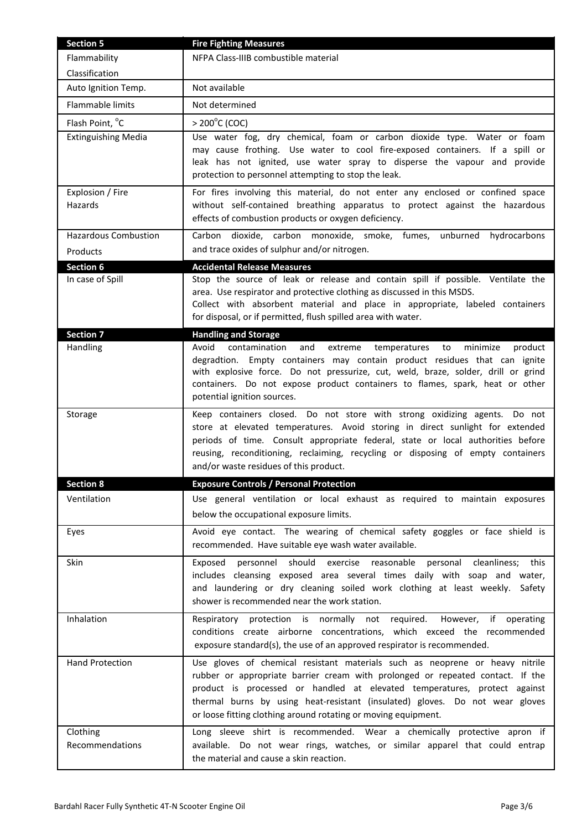| <b>Section 5</b>            | <b>Fire Fighting Measures</b>                                                                                                                                                                                                                                                                                                                                                                 |
|-----------------------------|-----------------------------------------------------------------------------------------------------------------------------------------------------------------------------------------------------------------------------------------------------------------------------------------------------------------------------------------------------------------------------------------------|
| Flammability                | NFPA Class-IIIB combustible material                                                                                                                                                                                                                                                                                                                                                          |
| Classification              |                                                                                                                                                                                                                                                                                                                                                                                               |
| Auto Ignition Temp.         | Not available                                                                                                                                                                                                                                                                                                                                                                                 |
| Flammable limits            | Not determined                                                                                                                                                                                                                                                                                                                                                                                |
| Flash Point, °C             | $> 200^{\circ}$ C (COC)                                                                                                                                                                                                                                                                                                                                                                       |
| <b>Extinguishing Media</b>  | Use water fog, dry chemical, foam or carbon dioxide type. Water or foam<br>may cause frothing. Use water to cool fire-exposed containers. If a spill or<br>leak has not ignited, use water spray to disperse the vapour and provide<br>protection to personnel attempting to stop the leak.                                                                                                   |
| Explosion / Fire<br>Hazards | For fires involving this material, do not enter any enclosed or confined space<br>without self-contained breathing apparatus to protect against the hazardous<br>effects of combustion products or oxygen deficiency.                                                                                                                                                                         |
| <b>Hazardous Combustion</b> | Carbon dioxide, carbon monoxide, smoke, fumes,<br>unburned hydrocarbons                                                                                                                                                                                                                                                                                                                       |
| Products                    | and trace oxides of sulphur and/or nitrogen.                                                                                                                                                                                                                                                                                                                                                  |
| <b>Section 6</b>            | <b>Accidental Release Measures</b>                                                                                                                                                                                                                                                                                                                                                            |
| In case of Spill            | Stop the source of leak or release and contain spill if possible. Ventilate the<br>area. Use respirator and protective clothing as discussed in this MSDS.<br>Collect with absorbent material and place in appropriate, labeled containers<br>for disposal, or if permitted, flush spilled area with water.                                                                                   |
| <b>Section 7</b>            | <b>Handling and Storage</b>                                                                                                                                                                                                                                                                                                                                                                   |
| Handling                    | contamination<br>Avoid<br>and<br>extreme<br>minimize<br>product<br>temperatures<br>to<br>degradtion. Empty containers may contain product residues that can ignite<br>with explosive force. Do not pressurize, cut, weld, braze, solder, drill or grind<br>containers. Do not expose product containers to flames, spark, heat or other<br>potential ignition sources.                        |
| Storage                     | Keep containers closed. Do not store with strong oxidizing agents. Do not<br>store at elevated temperatures. Avoid storing in direct sunlight for extended<br>periods of time. Consult appropriate federal, state or local authorities before<br>reusing, reconditioning, reclaiming, recycling or disposing of empty containers<br>and/or waste residues of this product.                    |
| <b>Section 8</b>            | <b>Exposure Controls / Personal Protection</b>                                                                                                                                                                                                                                                                                                                                                |
| Ventilation                 | Use general ventilation or local exhaust as required to maintain exposures<br>below the occupational exposure limits.                                                                                                                                                                                                                                                                         |
| Eyes                        | Avoid eye contact. The wearing of chemical safety goggles or face shield is<br>recommended. Have suitable eye wash water available.                                                                                                                                                                                                                                                           |
| <b>Skin</b>                 | personnel should<br>exercise reasonable<br>cleanliness; this<br>Exposed<br>personal<br>includes cleansing exposed area several times daily with soap and water,<br>and laundering or dry cleaning soiled work clothing at least weekly.<br>Safety<br>shower is recommended near the work station.                                                                                             |
| Inhalation                  | Respiratory protection is normally not required.<br>However, if operating<br>conditions create airborne concentrations, which exceed the recommended<br>exposure standard(s), the use of an approved respirator is recommended.                                                                                                                                                               |
| <b>Hand Protection</b>      | Use gloves of chemical resistant materials such as neoprene or heavy nitrile<br>rubber or appropriate barrier cream with prolonged or repeated contact. If the<br>product is processed or handled at elevated temperatures, protect against<br>thermal burns by using heat-resistant (insulated) gloves. Do not wear gloves<br>or loose fitting clothing around rotating or moving equipment. |
| Clothing<br>Recommendations | Long sleeve shirt is recommended. Wear a chemically protective apron if<br>available. Do not wear rings, watches, or similar apparel that could entrap<br>the material and cause a skin reaction.                                                                                                                                                                                             |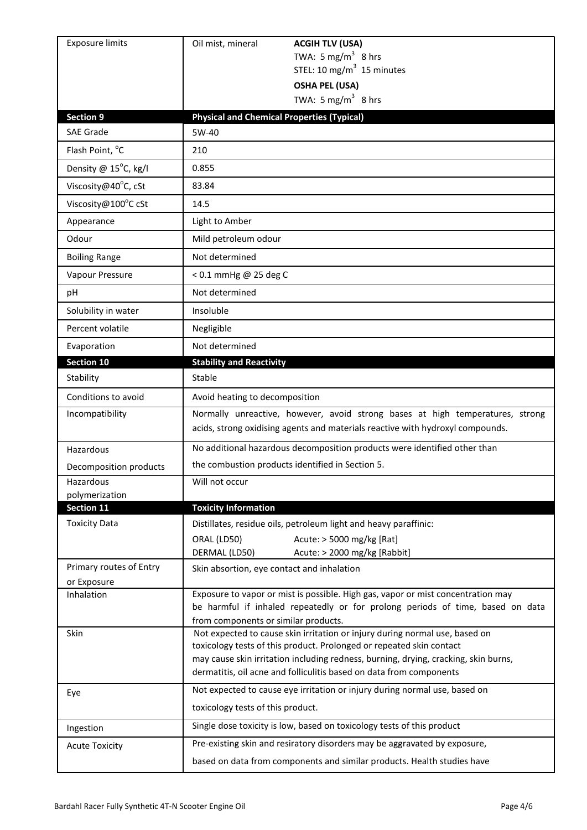| <b>Exposure limits</b>                 | Oil mist, mineral<br><b>ACGIH TLV (USA)</b>                                                                                                                                                                                                                                                                       |
|----------------------------------------|-------------------------------------------------------------------------------------------------------------------------------------------------------------------------------------------------------------------------------------------------------------------------------------------------------------------|
|                                        | TWA: 5 mg/m <sup>3</sup> 8 hrs                                                                                                                                                                                                                                                                                    |
|                                        | STEL: 10 mg/m $3$ 15 minutes                                                                                                                                                                                                                                                                                      |
|                                        | <b>OSHA PEL (USA)</b><br>TWA: 5 mg/m <sup>3</sup> 8 hrs                                                                                                                                                                                                                                                           |
| <b>Section 9</b>                       | <b>Physical and Chemical Properties (Typical)</b>                                                                                                                                                                                                                                                                 |
| <b>SAE Grade</b>                       | 5W-40                                                                                                                                                                                                                                                                                                             |
| Flash Point, °C                        | 210                                                                                                                                                                                                                                                                                                               |
| Density @ 15°C, kg/l                   | 0.855                                                                                                                                                                                                                                                                                                             |
| Viscosity@40°C, cSt                    | 83.84                                                                                                                                                                                                                                                                                                             |
| Viscosity@100°C cSt                    | 14.5                                                                                                                                                                                                                                                                                                              |
| Appearance                             | Light to Amber                                                                                                                                                                                                                                                                                                    |
| Odour                                  | Mild petroleum odour                                                                                                                                                                                                                                                                                              |
| <b>Boiling Range</b>                   | Not determined                                                                                                                                                                                                                                                                                                    |
| Vapour Pressure                        | < 0.1 mmHg @ 25 deg C                                                                                                                                                                                                                                                                                             |
| рH                                     | Not determined                                                                                                                                                                                                                                                                                                    |
| Solubility in water                    | Insoluble                                                                                                                                                                                                                                                                                                         |
| Percent volatile                       | Negligible                                                                                                                                                                                                                                                                                                        |
| Evaporation                            | Not determined                                                                                                                                                                                                                                                                                                    |
| <b>Section 10</b>                      | <b>Stability and Reactivity</b>                                                                                                                                                                                                                                                                                   |
| Stability                              | Stable                                                                                                                                                                                                                                                                                                            |
| Conditions to avoid                    | Avoid heating to decomposition                                                                                                                                                                                                                                                                                    |
| Incompatibility                        | Normally unreactive, however, avoid strong bases at high temperatures, strong<br>acids, strong oxidising agents and materials reactive with hydroxyl compounds.                                                                                                                                                   |
| Hazardous                              | No additional hazardous decomposition products were identified other than                                                                                                                                                                                                                                         |
| Decomposition products                 | the combustion products identified in Section 5.                                                                                                                                                                                                                                                                  |
| Hazardous                              | Will not occur                                                                                                                                                                                                                                                                                                    |
| polymerization<br>Section 11           | <b>Toxicity Information</b>                                                                                                                                                                                                                                                                                       |
| <b>Toxicity Data</b>                   | Distillates, residue oils, petroleum light and heavy paraffinic:                                                                                                                                                                                                                                                  |
|                                        | Acute: > 5000 mg/kg [Rat]<br>ORAL (LD50)<br>DERMAL (LD50)<br>Acute: > 2000 mg/kg [Rabbit]                                                                                                                                                                                                                         |
| Primary routes of Entry<br>or Exposure | Skin absortion, eye contact and inhalation                                                                                                                                                                                                                                                                        |
| Inhalation                             | Exposure to vapor or mist is possible. High gas, vapor or mist concentration may<br>be harmful if inhaled repeatedly or for prolong periods of time, based on data<br>from components or similar products.                                                                                                        |
| Skin                                   | Not expected to cause skin irritation or injury during normal use, based on<br>toxicology tests of this product. Prolonged or repeated skin contact<br>may cause skin irritation including redness, burning, drying, cracking, skin burns,<br>dermatitis, oil acne and folliculitis based on data from components |
| Eye                                    | Not expected to cause eye irritation or injury during normal use, based on<br>toxicology tests of this product.                                                                                                                                                                                                   |
| Ingestion                              | Single dose toxicity is low, based on toxicology tests of this product                                                                                                                                                                                                                                            |
| <b>Acute Toxicity</b>                  | Pre-existing skin and resiratory disorders may be aggravated by exposure,                                                                                                                                                                                                                                         |
|                                        |                                                                                                                                                                                                                                                                                                                   |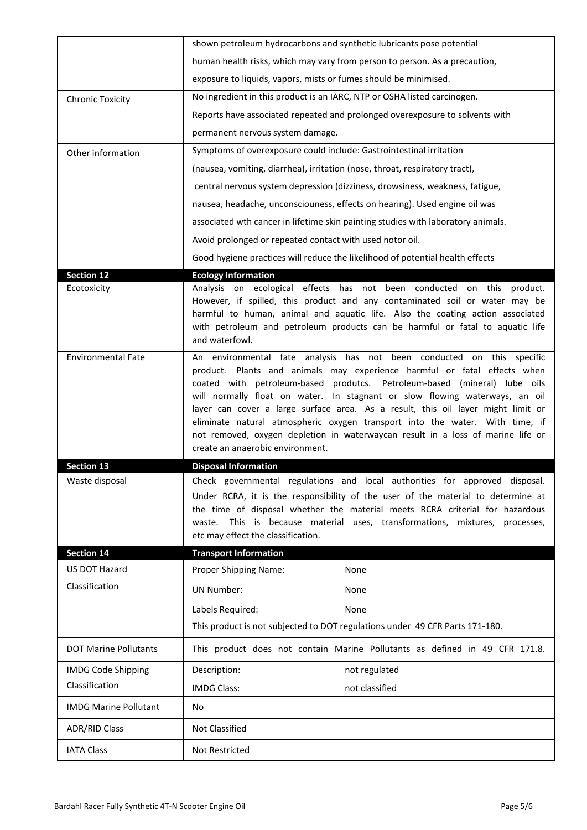|                              | shown petroleum hydrocarbons and synthetic lubricants pose potential                                                                                                                                                                                                                                                                                                                                                                                                               |
|------------------------------|------------------------------------------------------------------------------------------------------------------------------------------------------------------------------------------------------------------------------------------------------------------------------------------------------------------------------------------------------------------------------------------------------------------------------------------------------------------------------------|
|                              | human health risks, which may vary from person to person. As a precaution,                                                                                                                                                                                                                                                                                                                                                                                                         |
|                              | exposure to liquids, vapors, mists or fumes should be minimised.                                                                                                                                                                                                                                                                                                                                                                                                                   |
| <b>Chronic Toxicity</b>      | No ingredient in this product is an IARC, NTP or OSHA listed carcinogen.                                                                                                                                                                                                                                                                                                                                                                                                           |
|                              | Reports have associated repeated and prolonged overexposure to solvents with                                                                                                                                                                                                                                                                                                                                                                                                       |
|                              | permanent nervous system damage.                                                                                                                                                                                                                                                                                                                                                                                                                                                   |
| Other information            | Symptoms of overexposure could include: Gastrointestinal irritation                                                                                                                                                                                                                                                                                                                                                                                                                |
|                              | (nausea, vomiting, diarrhea), irritation (nose, throat, respiratory tract),                                                                                                                                                                                                                                                                                                                                                                                                        |
|                              | central nervous system depression (dizziness, drowsiness, weakness, fatigue,                                                                                                                                                                                                                                                                                                                                                                                                       |
|                              | nausea, headache, unconsciouness, effects on hearing). Used engine oil was                                                                                                                                                                                                                                                                                                                                                                                                         |
|                              | associated wth cancer in lifetime skin painting studies with laboratory animals.                                                                                                                                                                                                                                                                                                                                                                                                   |
|                              | Avoid prolonged or repeated contact with used notor oil.                                                                                                                                                                                                                                                                                                                                                                                                                           |
|                              | Good hygiene practices will reduce the likelihood of potential health effects                                                                                                                                                                                                                                                                                                                                                                                                      |
| <b>Section 12</b>            | <b>Ecology Information</b>                                                                                                                                                                                                                                                                                                                                                                                                                                                         |
| Ecotoxicity                  | Analysis on ecological effects has not been conducted on this product.<br>However, if spilled, this product and any contaminated soil or water may be<br>harmful to human, animal and aquatic life. Also the coating action associated<br>with petroleum and petroleum products can be harmful or fatal to aquatic life<br>and waterfowl.                                                                                                                                          |
| <b>Environmental Fate</b>    | An environmental fate analysis has not been conducted on this specific<br>product. Plants and animals may experience harmful or fatal effects when<br>coated with petroleum-based produtcs. Petroleum-based (mineral) lube oils<br>will normally float on water. In stagnant or slow flowing waterways, an oil<br>layer can cover a large surface area. As a result, this oil layer might limit or<br>eliminate natural atmospheric oxygen transport into the water. With time, if |
|                              | not removed, oxygen depletion in waterwaycan result in a loss of marine life or<br>create an anaerobic environment.                                                                                                                                                                                                                                                                                                                                                                |
| <b>Section 13</b>            | <b>Disposal Information</b>                                                                                                                                                                                                                                                                                                                                                                                                                                                        |
| Waste disposal               | Check governmental regulations and local authorities for approved disposal.<br>Under RCRA, it is the responsibility of the user of the material to determine at<br>the time of disposal whether the material meets RCRA criterial for hazardous<br>This is because material uses, transformations, mixtures, processes,<br>waste.<br>etc may effect the classification.                                                                                                            |
| <b>Section 14</b>            | <b>Transport Information</b>                                                                                                                                                                                                                                                                                                                                                                                                                                                       |
| US DOT Hazard                | Proper Shipping Name:<br>None                                                                                                                                                                                                                                                                                                                                                                                                                                                      |
| Classification               | <b>UN Number:</b><br>None                                                                                                                                                                                                                                                                                                                                                                                                                                                          |
|                              | Labels Required:<br>None                                                                                                                                                                                                                                                                                                                                                                                                                                                           |
|                              | This product is not subjected to DOT regulations under 49 CFR Parts 171-180.                                                                                                                                                                                                                                                                                                                                                                                                       |
| <b>DOT Marine Pollutants</b> | This product does not contain Marine Pollutants as defined in 49 CFR 171.8.                                                                                                                                                                                                                                                                                                                                                                                                        |
| <b>IMDG Code Shipping</b>    | Description:<br>not regulated                                                                                                                                                                                                                                                                                                                                                                                                                                                      |
| Classification               | not classified<br><b>IMDG Class:</b>                                                                                                                                                                                                                                                                                                                                                                                                                                               |
| <b>IMDG Marine Pollutant</b> | No                                                                                                                                                                                                                                                                                                                                                                                                                                                                                 |
| <b>ADR/RID Class</b>         | Not Classified                                                                                                                                                                                                                                                                                                                                                                                                                                                                     |